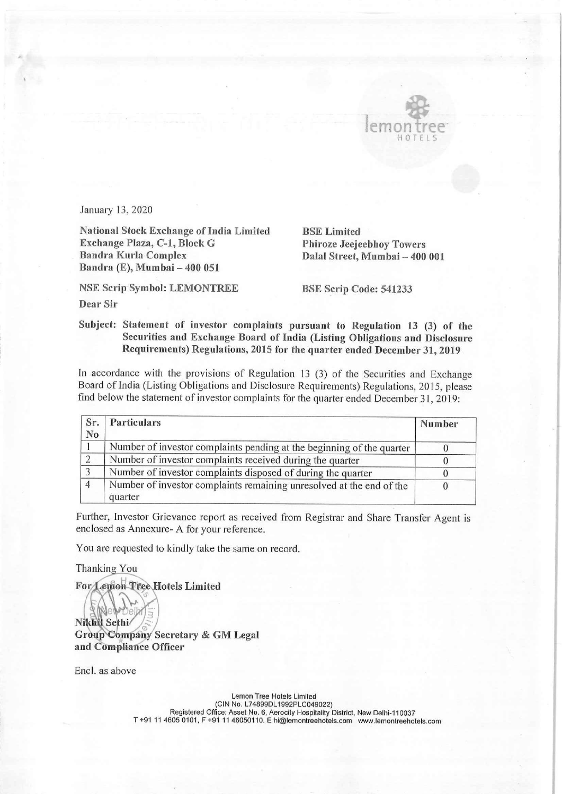

Ш

## Subject: Statement of investor complaints pursuant to Regulation 13 (3) of the Securities and Exchange Board of India (Listing Obligations and Disclosure Requirements) Regulations, 2015 for the quarter ended December 31, 2019

In accordance with the provisions of Regulation 13 (3) of the Securities and Exchange Board of India (Listing Obligations and Disclosure Requirements) Regulations, 2015, please find below the statement of investor complaints for the quarter ended December 31, 2019: Formulars 13, 2020<br>
Manuary 13, 2020<br>
Manuary 13, 2020<br>
Manuary 13, 2020<br>
Manuary 13, 2020<br>
Manuary 13, 2020<br>
Manuary 13, 2020<br>
Manuary 13, 2020<br>
Manuary 13, 2020<br>
Bandra Kurla Complex<br>
Bandra Kurla Complex<br>
Bandra Kurla C

|                                                                       | January 13, 2020                                                                                                                                                                                                                                                                |                                |        |  |
|-----------------------------------------------------------------------|---------------------------------------------------------------------------------------------------------------------------------------------------------------------------------------------------------------------------------------------------------------------------------|--------------------------------|--------|--|
| <b>National Stock Exchange of India Limited</b><br><b>BSE</b> Limited |                                                                                                                                                                                                                                                                                 |                                |        |  |
| Exchange Plaza, C-1, Block G<br><b>Phiroze Jeejeebhoy Towers</b>      |                                                                                                                                                                                                                                                                                 |                                |        |  |
|                                                                       | <b>Bandra Kurla Complex</b><br>Bandra (E), Mumbai - 400 051                                                                                                                                                                                                                     | Dalal Street, Mumbai - 400 001 |        |  |
| <b>NSE Scrip Symbol: LEMONTREE</b><br>BSE Scrip Code: 541233          |                                                                                                                                                                                                                                                                                 |                                |        |  |
| <b>Dear Sir</b>                                                       |                                                                                                                                                                                                                                                                                 |                                |        |  |
|                                                                       | Subject: Statement of investor complaints pursuant to Regulation 13 (3) of the<br>Securities and Exchange Board of India (Listing Obligations and Disclosure<br>Requirements) Regulations, 2015 for the quarter ended December 31, 2019                                         |                                |        |  |
|                                                                       | In accordance with the provisions of Regulation 13 (3) of the Securities and Exchange<br>Board of India (Listing Obligations and Disclosure Requirements) Regulations, 2015, please<br>find below the statement of investor complaints for the quarter ended December 31, 2019: |                                |        |  |
|                                                                       |                                                                                                                                                                                                                                                                                 |                                |        |  |
| Sr.<br>No                                                             | <b>Particulars</b>                                                                                                                                                                                                                                                              |                                | Number |  |
| 1                                                                     | Number of investor complaints pending at the beginning of the quarter                                                                                                                                                                                                           |                                |        |  |
| $\overline{c}$                                                        | Number of investor complaints received during the quarter                                                                                                                                                                                                                       |                                |        |  |
| $\overline{3}$                                                        | Number of investor complaints disposed of during the quarter                                                                                                                                                                                                                    |                                |        |  |
| $\overline{4}$                                                        | Number of investor complaints remaining unresolved at the end of the<br>quarter                                                                                                                                                                                                 |                                |        |  |

Further, Investor Grievance report as received from Registrar and Share Transfer Agent is enclosed as Annexure- A for your reference.

You are requested to kindly take the same on record.

Thanking You

smon Tree Hotels Limited

Nikhil Sethi Group Company Secretary & GM Legal and Compliance Officer

Encl. as above

Lemon Tree Hotels Limited (CIN No. L74899DL1992PLC049022) Registered Office: Asset No. 6, Aerocity Hospitality District, New Delhi-110037 T +91 11 4605 0101, F +91 11 46050110. E hi@lemontreehotels.com www.lemontreehotels.com